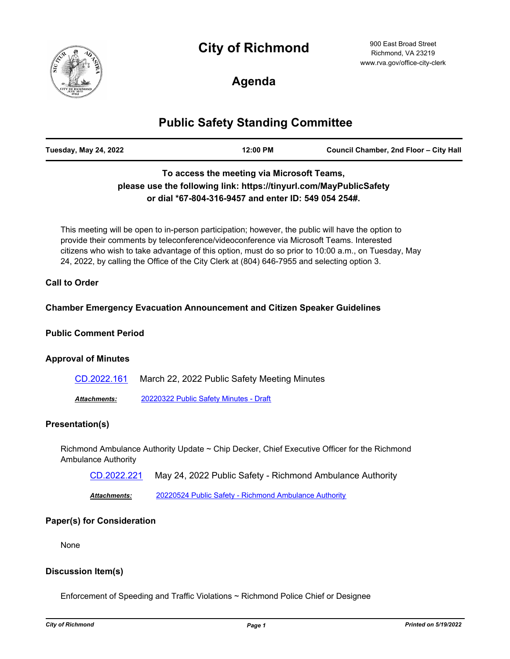# **City of Richmond**



900 East Broad Street Richmond, VA 23219 www.rva.gov/office-city-clerk

# **Agenda**

## **Public Safety Standing Committee**

| <b>Tuesday, May 24, 2022</b> | 12:00 PM | Council Chamber, 2nd Floor - City Hall |
|------------------------------|----------|----------------------------------------|
|                              |          |                                        |

## **To access the meeting via Microsoft Teams, please use the following link: https://tinyurl.com/MayPublicSafety or dial \*67-804-316-9457 and enter ID: 549 054 254#.**

This meeting will be open to in-person participation; however, the public will have the option to provide their comments by teleconference/videoconference via Microsoft Teams. Interested citizens who wish to take advantage of this option, must do so prior to 10:00 a.m., on Tuesday, May 24, 2022, by calling the Office of the City Clerk at (804) 646-7955 and selecting option 3.

### **Call to Order**

### **Chamber Emergency Evacuation Announcement and Citizen Speaker Guidelines**

#### **Public Comment Period**

#### **Approval of Minutes**

| CD.2022.161  | March 22, 2022 Public Safety Meeting Minutes |
|--------------|----------------------------------------------|
| Attachments: | 20220322 Public Safety Minutes - Draft       |

## **Presentation(s)**

Richmond Ambulance Authority Update ~ Chip Decker, Chief Executive Officer for the Richmond Ambulance Authority

[CD.2022.221](http://richmondva.legistar.com/gateway.aspx?m=l&id=/matter.aspx?key=32178) May 24, 2022 Public Safety - Richmond Ambulance Authority

*Attachments:* [20220524 Public Safety - Richmond Ambulance Authority](http://richmondva.legistar.com/gateway.aspx?M=F&ID=0196fd81-60a5-4f3d-9b9c-df5c8a90b4d8.pdf)

#### **Paper(s) for Consideration**

None

## **Discussion Item(s)**

Enforcement of Speeding and Traffic Violations ~ Richmond Police Chief or Designee